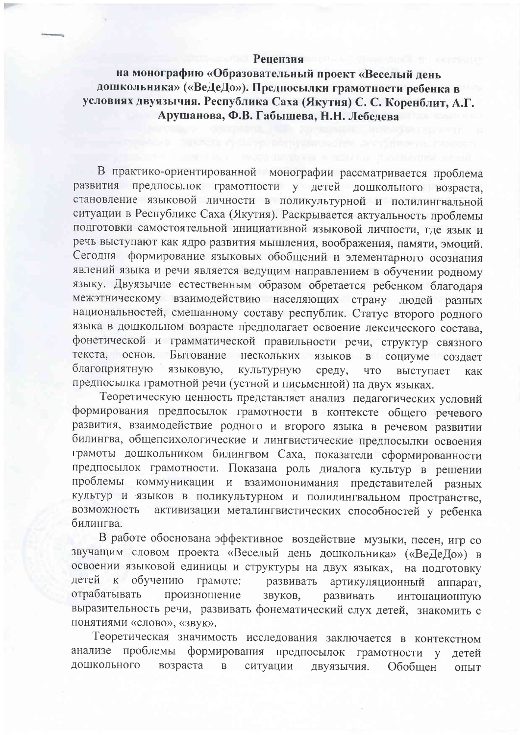## Репензия

на монографию «Образовательный проект «Веселый день дошкольника» («ВеДеДо»). Предпосылки грамотности ребенка в условиях двуязычия. Республика Саха (Якутия) С. С. Коренблит, А.Г. Арушанова, Ф.В. Габышева, Н.Н. Лебедева

В практико-ориентированной монографии рассматривается проблема развития предпосылок грамотности у детей дошкольного возраста, становление языковой личности в поликультурной и полилингвальной ситуации в Республике Саха (Якутия). Раскрывается актуальность проблемы подготовки самостоятельной инициативной языковой личности, где язык и речь выступают как ядро развития мышления, воображения, памяти, эмоций. формирование языковых обобщений и элементарного осознания Сегодня явлений языка и речи является ведущим направлением в обучении родному языку. Двуязычие естественным образом обретается ребенком благодаря межэтническому взаимодействию населяющих страну людей разных национальностей, смешанному составу республик. Статус второго родного языка в дошкольном возрасте предполагает освоение лексического состава, фонетической и грамматической правильности речи, структур связного Бытование текста, основ. нескольких языков  $\, {\bf B} \,$ социуме создает благоприятную языковую, культурную среду, ЧTO выступает как предпосылка грамотной речи (устной и письменной) на двух языках.

Теоретическую ценность представляет анализ педагогических условий формирования предпосылок грамотности в контексте общего речевого развития, взаимодействие родного и второго языка в речевом развитии билингва, общепсихологические и лингвистические предпосылки освоения грамоты дошкольником билингвом Саха, показатели сформированности предпосылок грамотности. Показана роль диалога культур в решении проблемы коммуникации и взаимопонимания представителей разных культур и языков в поликультурном и полилингвальном пространстве, активизации металингвистических способностей у ребенка возможность билингва.

В работе обоснована эффективное воздействие музыки, песен, игр со звучащим словом проекта «Веселый день дошкольника» («ВеДеДо») в освоении языковой единицы и структуры на двух языках, на подготовку детей к обучению развивать грамоте: артикуляционный аппарат, отрабатывать произношение звуков, развивать интонационную выразительность речи, развивать фонематический слух детей, знакомить с понятиями «слово», «звук».

Теоретическая значимость исследования заключается в контекстном анализе проблемы формирования предпосылок грамотности у детей дошкольного возраста ситуации  $\, {\bf B}$ двуязычия. Обобшен ОПЫТ